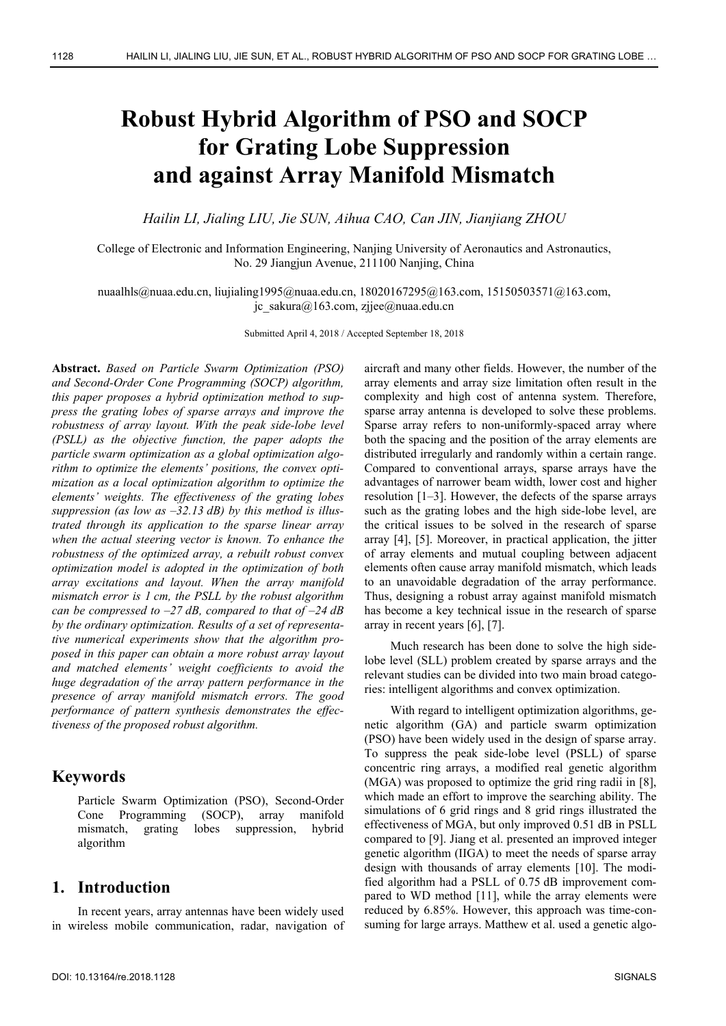# **Robust Hybrid Algorithm of PSO and SOCP for Grating Lobe Suppression and against Array Manifold Mismatch**

*Hailin LI, Jialing LIU, Jie SUN, Aihua CAO, Can JIN, Jianjiang ZHOU* 

College of Electronic and Information Engineering, Nanjing University of Aeronautics and Astronautics, No. 29 Jiangjun Avenue, 211100 Nanjing, China

nuaalhls@nuaa.edu.cn, liujialing1995@nuaa.edu.cn, 18020167295@163.com, 15150503571@163.com, jc\_sakura@163.com, zjjee@nuaa.edu.cn

Submitted April 4, 2018 / Accepted September 18, 2018

**Abstract.** *Based on Particle Swarm Optimization (PSO) and Second-Order Cone Programming (SOCP) algorithm, this paper proposes a hybrid optimization method to suppress the grating lobes of sparse arrays and improve the robustness of array layout. With the peak side-lobe level (PSLL) as the objective function, the paper adopts the particle swarm optimization as a global optimization algorithm to optimize the elements' positions, the convex optimization as a local optimization algorithm to optimize the elements' weights. The effectiveness of the grating lobes suppression (as low as –32.13 dB) by this method is illustrated through its application to the sparse linear array when the actual steering vector is known. To enhance the robustness of the optimized array, a rebuilt robust convex optimization model is adopted in the optimization of both array excitations and layout. When the array manifold mismatch error is 1 cm, the PSLL by the robust algorithm can be compressed to –27 dB, compared to that of –24 dB by the ordinary optimization. Results of a set of representative numerical experiments show that the algorithm proposed in this paper can obtain a more robust array layout and matched elements' weight coefficients to avoid the huge degradation of the array pattern performance in the presence of array manifold mismatch errors. The good performance of pattern synthesis demonstrates the effectiveness of the proposed robust algorithm.* 

#### **Keywords**

Particle Swarm Optimization (PSO), Second-Order Cone Programming (SOCP), array manifold mismatch, grating lobes suppression, hybrid algorithm

## **1. Introduction**

In recent years, array antennas have been widely used in wireless mobile communication, radar, navigation of aircraft and many other fields. However, the number of the array elements and array size limitation often result in the complexity and high cost of antenna system. Therefore, sparse array antenna is developed to solve these problems. Sparse array refers to non-uniformly-spaced array where both the spacing and the position of the array elements are distributed irregularly and randomly within a certain range. Compared to conventional arrays, sparse arrays have the advantages of narrower beam width, lower cost and higher resolution [1–3]. However, the defects of the sparse arrays such as the grating lobes and the high side-lobe level, are the critical issues to be solved in the research of sparse array [4], [5]. Moreover, in practical application, the jitter of array elements and mutual coupling between adjacent elements often cause array manifold mismatch, which leads to an unavoidable degradation of the array performance. Thus, designing a robust array against manifold mismatch has become a key technical issue in the research of sparse array in recent years [6], [7].

Much research has been done to solve the high sidelobe level (SLL) problem created by sparse arrays and the relevant studies can be divided into two main broad categories: intelligent algorithms and convex optimization.

With regard to intelligent optimization algorithms, genetic algorithm (GA) and particle swarm optimization (PSO) have been widely used in the design of sparse array. To suppress the peak side-lobe level (PSLL) of sparse concentric ring arrays, a modified real genetic algorithm (MGA) was proposed to optimize the grid ring radii in [8], which made an effort to improve the searching ability. The simulations of 6 grid rings and 8 grid rings illustrated the effectiveness of MGA, but only improved 0.51 dB in PSLL compared to [9]. Jiang et al. presented an improved integer genetic algorithm (IIGA) to meet the needs of sparse array design with thousands of array elements [10]. The modified algorithm had a PSLL of 0.75 dB improvement compared to WD method [11], while the array elements were reduced by 6.85%. However, this approach was time-consuming for large arrays. Matthew et al. used a genetic algo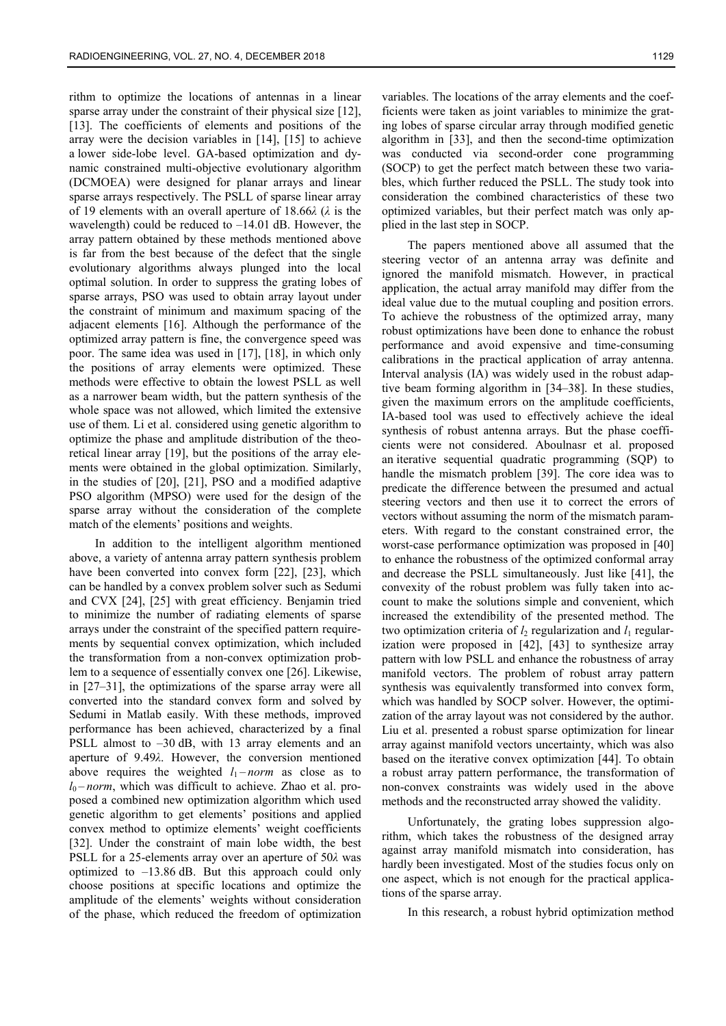rithm to optimize the locations of antennas in a linear sparse array under the constraint of their physical size [12], [13]. The coefficients of elements and positions of the array were the decision variables in [14], [15] to achieve a lower side-lobe level. GA-based optimization and dynamic constrained multi-objective evolutionary algorithm (DCMOEA) were designed for planar arrays and linear sparse arrays respectively. The PSLL of sparse linear array of 19 elements with an overall aperture of 18.66*λ* (*λ* is the wavelength) could be reduced to  $-14.01$  dB. However, the array pattern obtained by these methods mentioned above is far from the best because of the defect that the single evolutionary algorithms always plunged into the local optimal solution. In order to suppress the grating lobes of sparse arrays, PSO was used to obtain array layout under the constraint of minimum and maximum spacing of the adjacent elements [16]. Although the performance of the optimized array pattern is fine, the convergence speed was poor. The same idea was used in [17], [18], in which only the positions of array elements were optimized. These methods were effective to obtain the lowest PSLL as well as a narrower beam width, but the pattern synthesis of the whole space was not allowed, which limited the extensive use of them. Li et al. considered using genetic algorithm to optimize the phase and amplitude distribution of the theoretical linear array [19], but the positions of the array elements were obtained in the global optimization. Similarly, in the studies of [20], [21], PSO and a modified adaptive PSO algorithm (MPSO) were used for the design of the sparse array without the consideration of the complete match of the elements' positions and weights.

In addition to the intelligent algorithm mentioned above, a variety of antenna array pattern synthesis problem have been converted into convex form [22], [23], which can be handled by a convex problem solver such as Sedumi and CVX [24], [25] with great efficiency. Benjamin tried to minimize the number of radiating elements of sparse arrays under the constraint of the specified pattern requirements by sequential convex optimization, which included the transformation from a non-convex optimization problem to a sequence of essentially convex one [26]. Likewise, in [27–31], the optimizations of the sparse array were all converted into the standard convex form and solved by Sedumi in Matlab easily. With these methods, improved performance has been achieved, characterized by a final PSLL almost to –30 dB, with 13 array elements and an aperture of 9.49*λ*. However, the conversion mentioned above requires the weighted  $l_1$ –norm as close as to  $l_0$  – *norm*, which was difficult to achieve. Zhao et al. proposed a combined new optimization algorithm which used genetic algorithm to get elements' positions and applied convex method to optimize elements' weight coefficients [32]. Under the constraint of main lobe width, the best PSLL for a 25-elements array over an aperture of 50*λ* was optimized to –13.86 dB. But this approach could only choose positions at specific locations and optimize the amplitude of the elements' weights without consideration of the phase, which reduced the freedom of optimization

variables. The locations of the array elements and the coefficients were taken as joint variables to minimize the grating lobes of sparse circular array through modified genetic algorithm in [33], and then the second-time optimization was conducted via second-order cone programming (SOCP) to get the perfect match between these two variables, which further reduced the PSLL. The study took into consideration the combined characteristics of these two optimized variables, but their perfect match was only applied in the last step in SOCP.

The papers mentioned above all assumed that the steering vector of an antenna array was definite and ignored the manifold mismatch. However, in practical application, the actual array manifold may differ from the ideal value due to the mutual coupling and position errors. To achieve the robustness of the optimized array, many robust optimizations have been done to enhance the robust performance and avoid expensive and time-consuming calibrations in the practical application of array antenna. Interval analysis (IA) was widely used in the robust adaptive beam forming algorithm in [34–38]. In these studies, given the maximum errors on the amplitude coefficients, IA-based tool was used to effectively achieve the ideal synthesis of robust antenna arrays. But the phase coefficients were not considered. Aboulnasr et al. proposed an iterative sequential quadratic programming (SQP) to handle the mismatch problem [39]. The core idea was to predicate the difference between the presumed and actual steering vectors and then use it to correct the errors of vectors without assuming the norm of the mismatch parameters. With regard to the constant constrained error, the worst-case performance optimization was proposed in [40] to enhance the robustness of the optimized conformal array and decrease the PSLL simultaneously. Just like [41], the convexity of the robust problem was fully taken into account to make the solutions simple and convenient, which increased the extendibility of the presented method. The two optimization criteria of  $l_2$  regularization and  $l_1$  regularization were proposed in [42], [43] to synthesize array pattern with low PSLL and enhance the robustness of array manifold vectors. The problem of robust array pattern synthesis was equivalently transformed into convex form, which was handled by SOCP solver. However, the optimization of the array layout was not considered by the author. Liu et al. presented a robust sparse optimization for linear array against manifold vectors uncertainty, which was also based on the iterative convex optimization [44]. To obtain a robust array pattern performance, the transformation of non-convex constraints was widely used in the above methods and the reconstructed array showed the validity.

Unfortunately, the grating lobes suppression algorithm, which takes the robustness of the designed array against array manifold mismatch into consideration, has hardly been investigated. Most of the studies focus only on one aspect, which is not enough for the practical applications of the sparse array.

In this research, a robust hybrid optimization method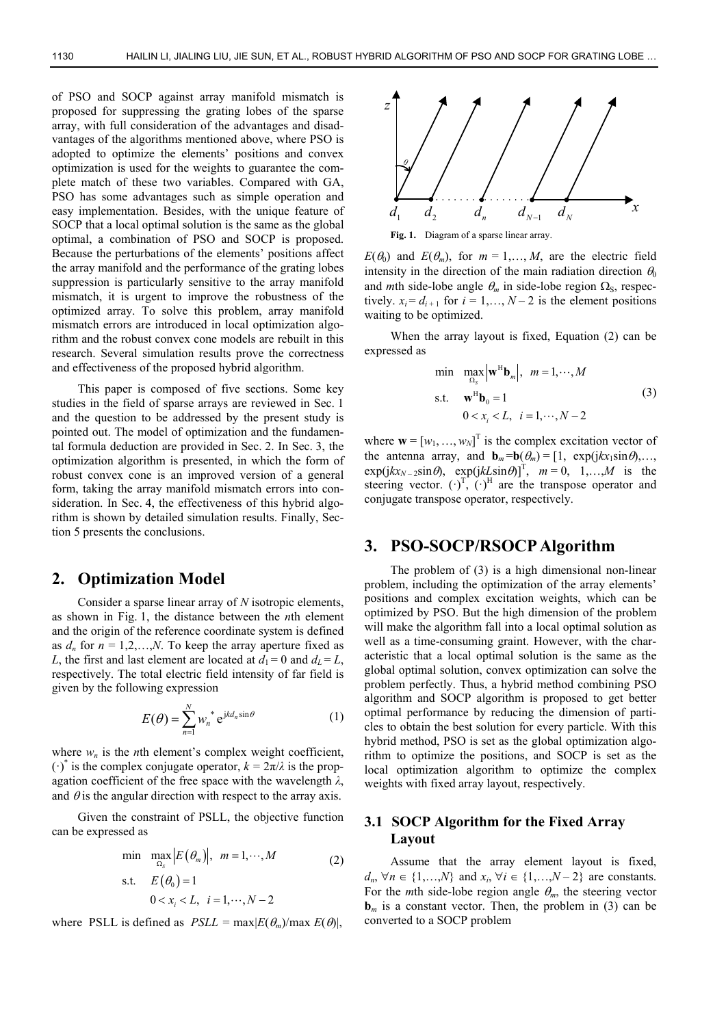of PSO and SOCP against array manifold mismatch is proposed for suppressing the grating lobes of the sparse array, with full consideration of the advantages and disadvantages of the algorithms mentioned above, where PSO is adopted to optimize the elements' positions and convex optimization is used for the weights to guarantee the complete match of these two variables. Compared with GA, PSO has some advantages such as simple operation and easy implementation. Besides, with the unique feature of SOCP that a local optimal solution is the same as the global optimal, a combination of PSO and SOCP is proposed. Because the perturbations of the elements' positions affect the array manifold and the performance of the grating lobes suppression is particularly sensitive to the array manifold mismatch, it is urgent to improve the robustness of the optimized array. To solve this problem, array manifold mismatch errors are introduced in local optimization algorithm and the robust convex cone models are rebuilt in this research. Several simulation results prove the correctness and effectiveness of the proposed hybrid algorithm.

This paper is composed of five sections. Some key studies in the field of sparse arrays are reviewed in Sec. 1 and the question to be addressed by the present study is pointed out. The model of optimization and the fundamental formula deduction are provided in Sec. 2. In Sec. 3, the optimization algorithm is presented, in which the form of robust convex cone is an improved version of a general form, taking the array manifold mismatch errors into consideration. In Sec. 4, the effectiveness of this hybrid algorithm is shown by detailed simulation results. Finally, Section 5 presents the conclusions.

#### **2. Optimization Model**

Consider a sparse linear array of *N* isotropic elements, as shown in Fig. 1, the distance between the *n*th element and the origin of the reference coordinate system is defined as  $d_n$  for  $n = 1, 2, \ldots, N$ . To keep the array aperture fixed as *L*, the first and last element are located at  $d_1 = 0$  and  $d_L = L$ , respectively. The total electric field intensity of far field is given by the following expression

$$
E(\theta) = \sum_{n=1}^{N} w_n^* e^{j k d_n \sin \theta} \tag{1}
$$

where  $w_n$  is the *n*th element's complex weight coefficient,  $(\cdot)^*$  is the complex conjugate operator,  $k = 2\pi/\lambda$  is the propagation coefficient of the free space with the wavelength *λ*, and  $\theta$  is the angular direction with respect to the array axis.

Given the constraint of PSLL, the objective function can be expressed as

$$
\min \max_{\Omega_S} |E(\theta_m)|, \quad m = 1, \cdots, M
$$
\n
$$
\text{s.t.} \quad E(\theta_0) = 1
$$
\n
$$
0 < x_i < L, \quad i = 1, \cdots, N - 2
$$
\n
$$
(2)
$$

where PSLL is defined as  $PSLL = \max |E(\theta_m)/\max E(\theta)|$ ,





 $E(\theta_0)$  and  $E(\theta_m)$ , for  $m = 1, \dots, M$ , are the electric field intensity in the direction of the main radiation direction  $\theta_0$ and *m*th side-lobe angle  $\theta_m$  in side-lobe region  $\Omega_s$ , respectively.  $x_i = d_{i+1}$  for  $i = 1, ..., N-2$  is the element positions waiting to be optimized.

When the array layout is fixed, Equation (2) can be expressed as

$$
\min \quad \max_{\Omega_S} \left| \mathbf{w}^H \mathbf{b}_m \right|, \quad m = 1, \cdots, M
$$
\n
$$
\text{s.t.} \quad \mathbf{w}^H \mathbf{b}_0 = 1
$$
\n
$$
0 < x_i < L, \quad i = 1, \cdots, N - 2
$$
\n
$$
(3)
$$

where  $\mathbf{w} = [w_1, ..., w_N]^T$  is the complex excitation vector of the antenna array, and  $\mathbf{b}_m = \mathbf{b}(\theta_m) = [1, \exp(jkx_1\sin\theta), \dots,$  $\exp\left( jkx_{N-2}\sin\theta\right), \exp\left( jkL\sin\theta\right) \right]^{T}$ ,  $m = 0, 1, \dots, M$  is the steering vector.  $(\cdot)^T$ ,  $(\cdot)^H$  are the transpose operator and conjugate transpose operator, respectively.

## **3. PSO-SOCP/RSOCP Algorithm**

The problem of (3) is a high dimensional non-linear problem, including the optimization of the array elements' positions and complex excitation weights, which can be optimized by PSO. But the high dimension of the problem will make the algorithm fall into a local optimal solution as well as a time-consuming graint. However, with the characteristic that a local optimal solution is the same as the global optimal solution, convex optimization can solve the problem perfectly. Thus, a hybrid method combining PSO algorithm and SOCP algorithm is proposed to get better optimal performance by reducing the dimension of particles to obtain the best solution for every particle. With this hybrid method, PSO is set as the global optimization algorithm to optimize the positions, and SOCP is set as the local optimization algorithm to optimize the complex weights with fixed array layout, respectively.

#### **3.1 SOCP Algorithm for the Fixed Array Layout**

Assume that the array element layout is fixed,  $d_n, \forall n \in \{1,...,N\}$  and  $x_i, \forall i \in \{1,...,N-2\}$  are constants. For the *m*th side-lobe region angle  $\theta_m$ , the steering vector  **is a constant vector. Then, the problem in (3) can be** converted to a SOCP problem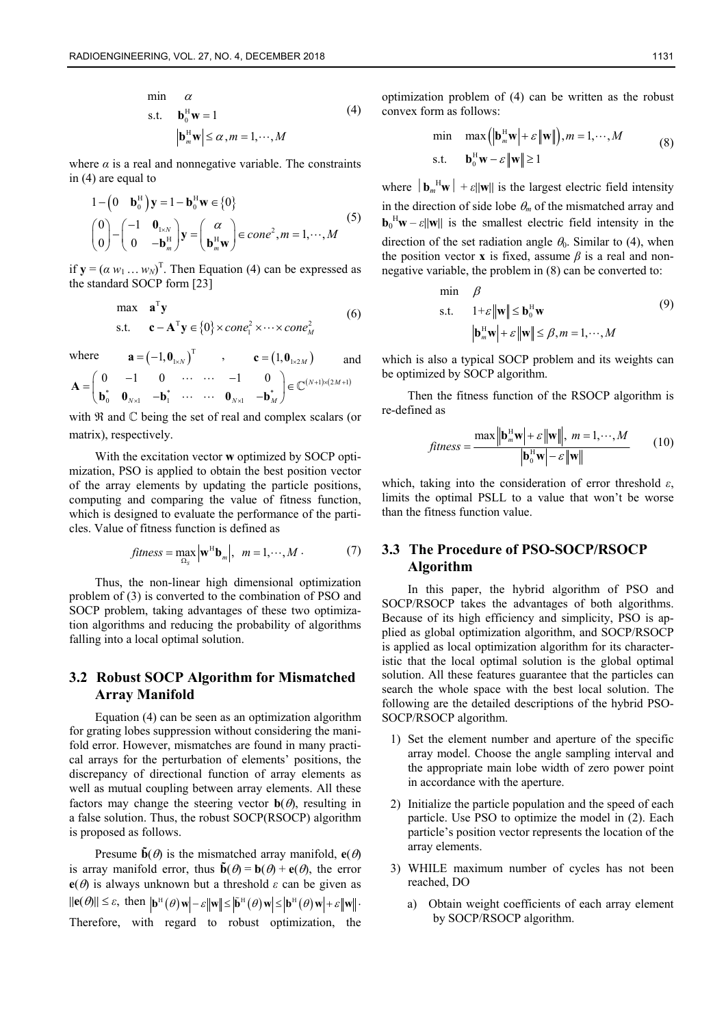$$
\begin{aligned}\n\min \quad &\alpha \\
\text{s.t.} \quad &\mathbf{b}_0^H \mathbf{w} = 1 \\
&\left| \mathbf{b}_m^H \mathbf{w} \right| \leq \alpha, m = 1, \cdots, M\n\end{aligned} \tag{4}
$$

where  $\alpha$  is a real and nonnegative variable. The constraints in  $(4)$  are equal to

$$
1 - \begin{pmatrix} 0 & \mathbf{b}_0^H \end{pmatrix} \mathbf{y} = 1 - \mathbf{b}_0^H \mathbf{w} \in \{0\}
$$
  

$$
\begin{pmatrix} 0 \\ 0 \end{pmatrix} - \begin{pmatrix} -1 & \mathbf{0}_{1 \times N} \\ 0 & -\mathbf{b}_m^H \end{pmatrix} \mathbf{y} = \begin{pmatrix} \alpha \\ \mathbf{b}_m^H \mathbf{w} \end{pmatrix} \in \text{cone}^2, m = 1, \cdots, M
$$
 (5)

if  $y = (a w_1 ... w_N)^T$ . Then Equation (4) can be expressed as the standard SOCP form [23]

$$
\begin{array}{ll}\n\text{max} & \mathbf{a}^{\mathrm{T}} \mathbf{y} \\
\text{s.t.} & \mathbf{c} - \mathbf{A}^{\mathrm{T}} \mathbf{y} \in \{0\} \times \text{cone}_1^2 \times \cdots \times \text{cone}_M^2\n\end{array} \tag{6}
$$

where 
$$
\mathbf{a} = (-1, \mathbf{0}_{1 \times N})^T
$$
,  $\mathbf{c} = (1, \mathbf{0}_{1 \times 2M})$  and  
\n
$$
\mathbf{A} = \begin{pmatrix} 0 & -1 & 0 & \cdots & \cdots & -1 & 0 \\ \mathbf{b}_0^* & \mathbf{0}_{N \times 1} & -\mathbf{b}_1^* & \cdots & \cdots & \mathbf{0}_{N \times 1} & -\mathbf{b}_M^* \end{pmatrix} \in \mathbb{C}^{(N+1) \times (2M+1)}
$$

with  $\Re$  and  $\heartsuit$  being the set of real and complex scalars (or matrix), respectively.

With the excitation vector **w** optimized by SOCP optimization, PSO is applied to obtain the best position vector of the array elements by updating the particle positions, computing and comparing the value of fitness function, which is designed to evaluate the performance of the particles. Value of fitness function is defined as

$$
fitness = \max_{\Omega_S} \left| \mathbf{w}^H \mathbf{b}_m \right|, \quad m = 1, \cdots, M \tag{7}
$$

Thus, the non-linear high dimensional optimization problem of (3) is converted to the combination of PSO and SOCP problem, taking advantages of these two optimization algorithms and reducing the probability of algorithms falling into a local optimal solution.

## **3.2 Robust SOCP Algorithm for Mismatched Array Manifold**

Equation (4) can be seen as an optimization algorithm for grating lobes suppression without considering the manifold error. However, mismatches are found in many practical arrays for the perturbation of elements' positions, the discrepancy of directional function of array elements as well as mutual coupling between array elements. All these factors may change the steering vector  $\mathbf{b}(\theta)$ , resulting in a false solution. Thus, the robust SOCP(RSOCP) algorithm is proposed as follows.

Presume  $\tilde{\mathbf{b}}(\theta)$  is the mismatched array manifold,  $\mathbf{e}(\theta)$ is array manifold error, thus  $\mathbf{\tilde{b}}(\theta) = \mathbf{b}(\theta) + \mathbf{e}(\theta)$ , the error **e**( $\theta$ ) is always unknown but a threshold  $\varepsilon$  can be given as  $\|\mathbf{e}(\theta)\| \leq \varepsilon$ , then  $\|\mathbf{b}^{\text{H}}(\theta)\mathbf{w}\| - \varepsilon \|\mathbf{w}\| \leq |\tilde{\mathbf{b}}^{\text{H}}(\theta)\mathbf{w}| \leq |\mathbf{b}^{\text{H}}(\theta)\mathbf{w}| + \varepsilon \|\mathbf{w}\|$ . Therefore, with regard to robust optimization, the optimization problem of (4) can be written as the robust convex form as follows:

min 
$$
\max (\|\mathbf{b}_m^H \mathbf{w}\| + \varepsilon \|\mathbf{w}\|), m = 1, \dots, M
$$
  
s.t.  $\mathbf{b}_0^H \mathbf{w} - \varepsilon \|\mathbf{w}\| \ge 1$  (8)

where  $|\mathbf{b}_m^H \mathbf{w}| + \varepsilon ||\mathbf{w}||$  is the largest electric field intensity in the direction of side lobe  $\theta_m$  of the mismatched array and  $\mathbf{b}_0^H \mathbf{w} - \varepsilon ||\mathbf{w}||$  is the smallest electric field intensity in the direction of the set radiation angle  $\theta_0$ . Similar to (4), when the position vector **x** is fixed, assume *β* is a real and nonnegative variable, the problem in (8) can be converted to:

$$
\begin{aligned}\n\min \quad & \beta \\
\text{s.t.} \quad & 1 + \varepsilon \|\mathbf{w}\| \le \mathbf{b}_0^H \mathbf{w} \\
& |\mathbf{b}_m^H \mathbf{w}| + \varepsilon \|\mathbf{w}\| \le \beta, m = 1, \cdots, M\n\end{aligned} \tag{9}
$$

which is also a typical SOCP problem and its weights can be optimized by SOCP algorithm.

Then the fitness function of the RSOCP algorithm is re-defined as

$$
fitness = \frac{\max \left\| \mathbf{b}_m^H \mathbf{w} \right\| + \varepsilon \left\| \mathbf{w} \right\|, \ m = 1, \cdots, M}{\left| \mathbf{b}_0^H \mathbf{w} \right| - \varepsilon \left\| \mathbf{w} \right\|} \tag{10}
$$

which, taking into the consideration of error threshold *ε*, limits the optimal PSLL to a value that won't be worse than the fitness function value.

# **3.3 The Procedure of PSO-SOCP/RSOCP Algorithm**

In this paper, the hybrid algorithm of PSO and SOCP/RSOCP takes the advantages of both algorithms. Because of its high efficiency and simplicity, PSO is applied as global optimization algorithm, and SOCP/RSOCP is applied as local optimization algorithm for its characteristic that the local optimal solution is the global optimal solution. All these features guarantee that the particles can search the whole space with the best local solution. The following are the detailed descriptions of the hybrid PSO-SOCP/RSOCP algorithm.

- 1) Set the element number and aperture of the specific array model. Choose the angle sampling interval and the appropriate main lobe width of zero power point in accordance with the aperture.
- 2) Initialize the particle population and the speed of each particle. Use PSO to optimize the model in (2). Each particle's position vector represents the location of the array elements.
- 3) WHILE maximum number of cycles has not been reached, DO
	- a) Obtain weight coefficients of each array element by SOCP/RSOCP algorithm.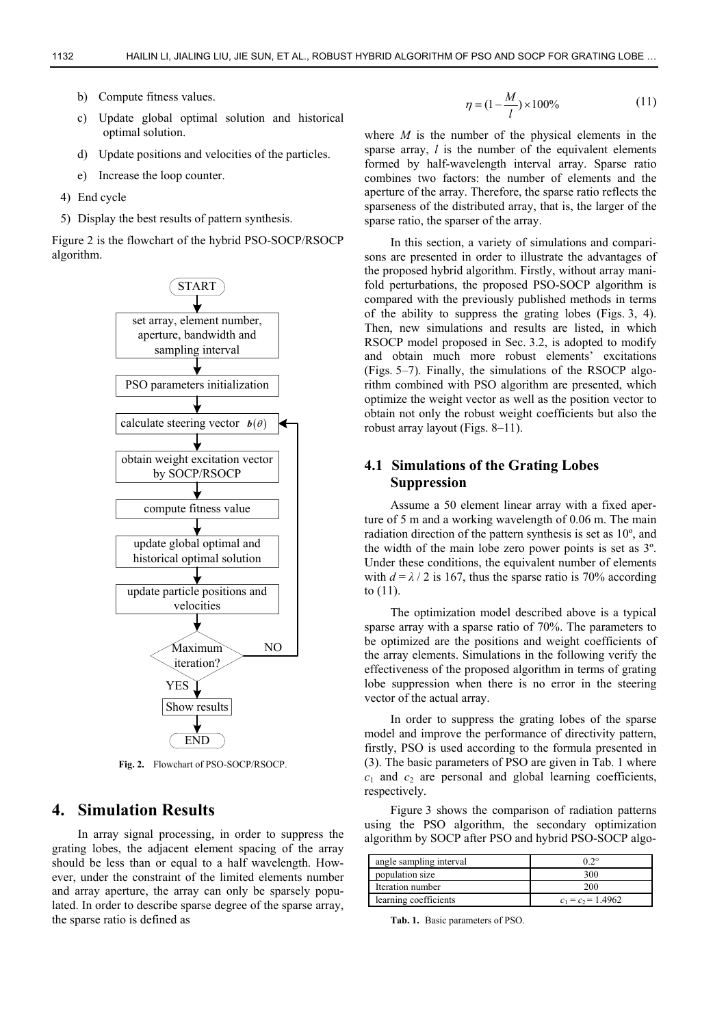- b) Compute fitness values.
- c) Update global optimal solution and historical optimal solution.
- d) Update positions and velocities of the particles.
- e) Increase the loop counter.
- 4) End cycle
- 5) Display the best results of pattern synthesis.

Figure 2 is the flowchart of the hybrid PSO-SOCP/RSOCP algorithm.



**Fig. 2.** Flowchart of PSO-SOCP/RSOCP.

## **4. Simulation Results**

In array signal processing, in order to suppress the grating lobes, the adjacent element spacing of the array should be less than or equal to a half wavelength. However, under the constraint of the limited elements number and array aperture, the array can only be sparsely populated. In order to describe sparse degree of the sparse array, the sparse ratio is defined as

$$
\eta = (1 - \frac{M}{l}) \times 100\% \tag{11}
$$

where *M* is the number of the physical elements in the sparse array, *l* is the number of the equivalent elements formed by half-wavelength interval array. Sparse ratio combines two factors: the number of elements and the aperture of the array. Therefore, the sparse ratio reflects the sparseness of the distributed array, that is, the larger of the sparse ratio, the sparser of the array.

In this section, a variety of simulations and comparisons are presented in order to illustrate the advantages of the proposed hybrid algorithm. Firstly, without array manifold perturbations, the proposed PSO-SOCP algorithm is compared with the previously published methods in terms of the ability to suppress the grating lobes (Figs. 3, 4). Then, new simulations and results are listed, in which RSOCP model proposed in Sec. 3.2, is adopted to modify and obtain much more robust elements' excitations (Figs. 5–7). Finally, the simulations of the RSOCP algorithm combined with PSO algorithm are presented, which optimize the weight vector as well as the position vector to obtain not only the robust weight coefficients but also the robust array layout (Figs. 8–11).

## **4.1 Simulations of the Grating Lobes Suppression**

Assume a 50 element linear array with a fixed aperture of 5 m and a working wavelength of 0.06 m. The main radiation direction of the pattern synthesis is set as 10º, and the width of the main lobe zero power points is set as 3º. Under these conditions, the equivalent number of elements with  $d = \lambda / 2$  is 167, thus the sparse ratio is 70% according to (11).

The optimization model described above is a typical sparse array with a sparse ratio of 70%. The parameters to be optimized are the positions and weight coefficients of the array elements. Simulations in the following verify the effectiveness of the proposed algorithm in terms of grating lobe suppression when there is no error in the steering vector of the actual array.

In order to suppress the grating lobes of the sparse model and improve the performance of directivity pattern, firstly, PSO is used according to the formula presented in (3). The basic parameters of PSO are given in Tab. 1 where  $c_1$  and  $c_2$  are personal and global learning coefficients, respectively.

Figure 3 shows the comparison of radiation patterns using the PSO algorithm, the secondary optimization algorithm by SOCP after PSO and hybrid PSO-SOCP algo-

| angle sampling interval | $0.2^\circ$          |
|-------------------------|----------------------|
| population size         | 300                  |
| Iteration number        | 200                  |
| learning coefficients   | $c_1 = c_2 = 1.4962$ |

**Tab. 1.** Basic parameters of PSO.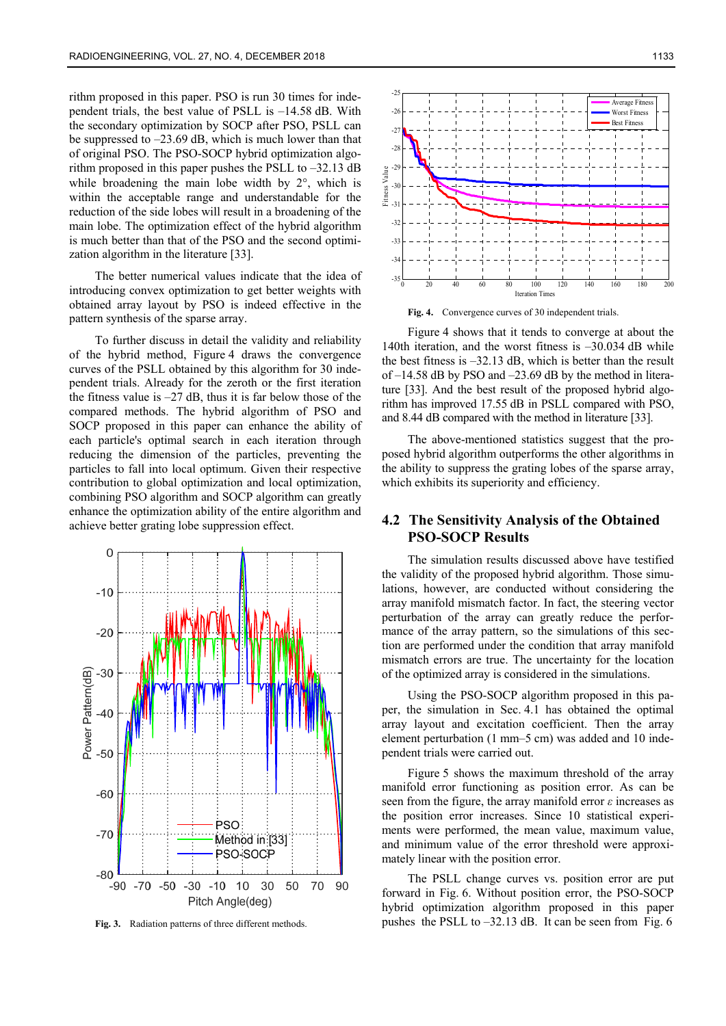rithm proposed in this paper. PSO is run 30 times for independent trials, the best value of PSLL is –14.58 dB. With the secondary optimization by SOCP after PSO, PSLL can be suppressed to –23.69 dB, which is much lower than that of original PSO. The PSO-SOCP hybrid optimization algorithm proposed in this paper pushes the PSLL to  $-32.13$  dB while broadening the main lobe width by  $2^{\circ}$ , which is within the acceptable range and understandable for the reduction of the side lobes will result in a broadening of the main lobe. The optimization effect of the hybrid algorithm is much better than that of the PSO and the second optimization algorithm in the literature [33].

The better numerical values indicate that the idea of introducing convex optimization to get better weights with obtained array layout by PSO is indeed effective in the pattern synthesis of the sparse array.

To further discuss in detail the validity and reliability of the hybrid method, Figure 4 draws the convergence curves of the PSLL obtained by this algorithm for 30 independent trials. Already for the zeroth or the first iteration the fitness value is  $-27$  dB, thus it is far below those of the compared methods. The hybrid algorithm of PSO and SOCP proposed in this paper can enhance the ability of each particle's optimal search in each iteration through reducing the dimension of the particles, preventing the particles to fall into local optimum. Given their respective contribution to global optimization and local optimization, combining PSO algorithm and SOCP algorithm can greatly enhance the optimization ability of the entire algorithm and achieve better grating lobe suppression effect.



**Fig. 3.** Radiation patterns of three different methods.



**Fig. 4.** Convergence curves of 30 independent trials.

Figure 4 shows that it tends to converge at about the 140th iteration, and the worst fitness is –30.034 dB while the best fitness is  $-32.13$  dB, which is better than the result of –14.58 dB by PSO and –23.69 dB by the method in literature [33]. And the best result of the proposed hybrid algorithm has improved 17.55 dB in PSLL compared with PSO, and 8.44 dB compared with the method in literature [33].

The above-mentioned statistics suggest that the proposed hybrid algorithm outperforms the other algorithms in the ability to suppress the grating lobes of the sparse array, which exhibits its superiority and efficiency.

#### **4.2 The Sensitivity Analysis of the Obtained PSO-SOCP Results**

The simulation results discussed above have testified the validity of the proposed hybrid algorithm. Those simulations, however, are conducted without considering the array manifold mismatch factor. In fact, the steering vector perturbation of the array can greatly reduce the performance of the array pattern, so the simulations of this section are performed under the condition that array manifold mismatch errors are true. The uncertainty for the location of the optimized array is considered in the simulations.

Using the PSO-SOCP algorithm proposed in this paper, the simulation in Sec. 4.1 has obtained the optimal array layout and excitation coefficient. Then the array element perturbation (1 mm–5 cm) was added and 10 independent trials were carried out.

Figure 5 shows the maximum threshold of the array manifold error functioning as position error. As can be seen from the figure, the array manifold error *ε* increases as the position error increases. Since 10 statistical experiments were performed, the mean value, maximum value, and minimum value of the error threshold were approximately linear with the position error.

The PSLL change curves vs. position error are put forward in Fig. 6. Without position error, the PSO-SOCP hybrid optimization algorithm proposed in this paper pushes the PSLL to –32.13 dB. It can be seen from Fig. 6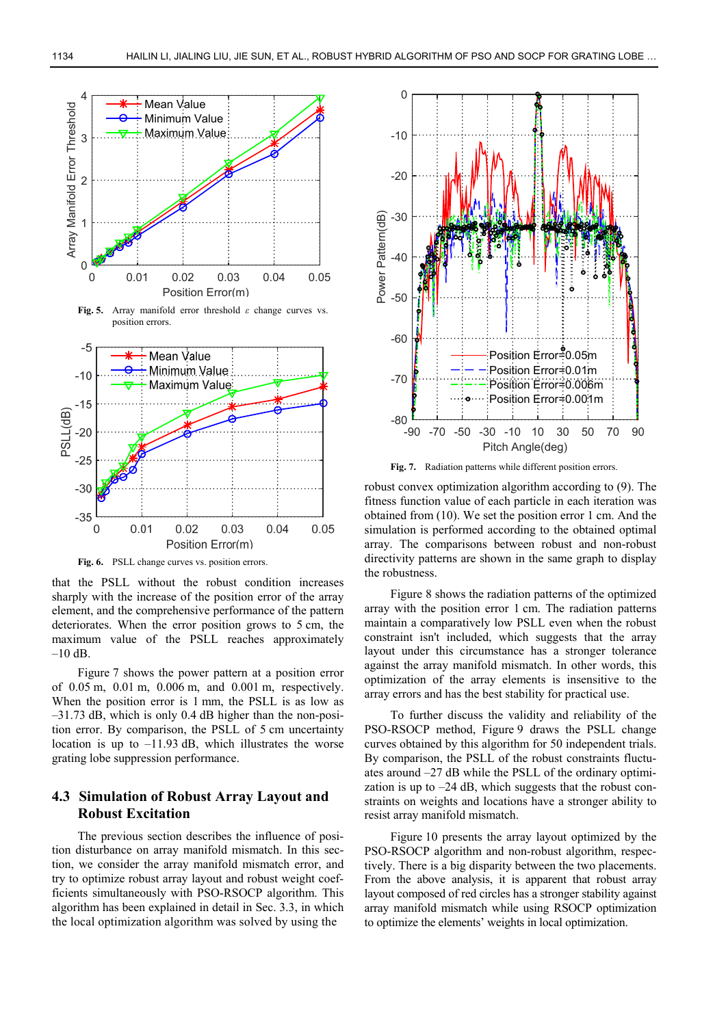

**Fig. 6.** PSLL change curves vs. position errors.

that the PSLL without the robust condition increases sharply with the increase of the position error of the array element, and the comprehensive performance of the pattern deteriorates. When the error position grows to 5 cm, the maximum value of the PSLL reaches approximately  $-10$  dB.

Figure 7 shows the power pattern at a position error of 0.05 m, 0.01 m, 0.006 m, and 0.001 m, respectively. When the position error is 1 mm, the PSLL is as low as –31.73 dB, which is only 0.4 dB higher than the non-position error. By comparison, the PSLL of 5 cm uncertainty location is up to  $-11.93$  dB, which illustrates the worse grating lobe suppression performance.

#### **4.3 Simulation of Robust Array Layout and Robust Excitation**

The previous section describes the influence of position disturbance on array manifold mismatch. In this section, we consider the array manifold mismatch error, and try to optimize robust array layout and robust weight coefficients simultaneously with PSO-RSOCP algorithm. This algorithm has been explained in detail in Sec. 3.3, in which the local optimization algorithm was solved by using the



**Fig. 7.** Radiation patterns while different position errors.

robust convex optimization algorithm according to (9). The fitness function value of each particle in each iteration was obtained from (10). We set the position error 1 cm. And the simulation is performed according to the obtained optimal array. The comparisons between robust and non-robust directivity patterns are shown in the same graph to display the robustness.

Figure 8 shows the radiation patterns of the optimized array with the position error 1 cm. The radiation patterns maintain a comparatively low PSLL even when the robust constraint isn't included, which suggests that the array layout under this circumstance has a stronger tolerance against the array manifold mismatch. In other words, this optimization of the array elements is insensitive to the array errors and has the best stability for practical use.

To further discuss the validity and reliability of the PSO-RSOCP method, Figure 9 draws the PSLL change curves obtained by this algorithm for 50 independent trials. By comparison, the PSLL of the robust constraints fluctuates around –27 dB while the PSLL of the ordinary optimization is up to  $-24$  dB, which suggests that the robust constraints on weights and locations have a stronger ability to resist array manifold mismatch.

Figure 10 presents the array layout optimized by the PSO-RSOCP algorithm and non-robust algorithm, respectively. There is a big disparity between the two placements. From the above analysis, it is apparent that robust array layout composed of red circles has a stronger stability against array manifold mismatch while using RSOCP optimization to optimize the elements' weights in local optimization.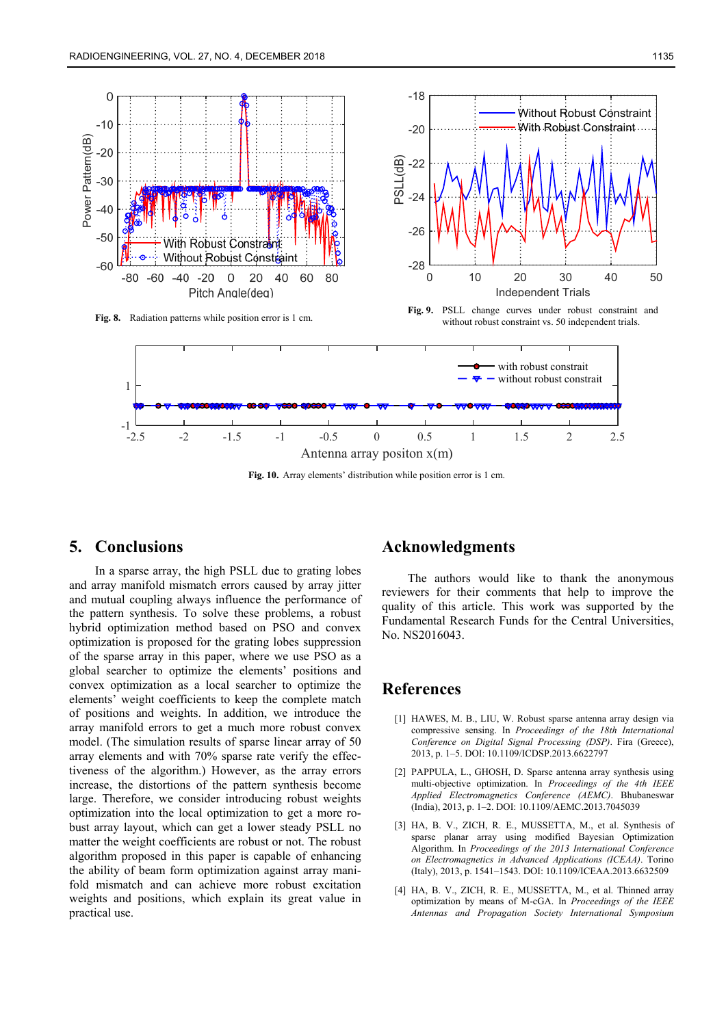

**Fig. 10.** Array elements' distribution while position error is 1 cm.

## **5. Conclusions**

In a sparse array, the high PSLL due to grating lobes and array manifold mismatch errors caused by array jitter and mutual coupling always influence the performance of the pattern synthesis. To solve these problems, a robust hybrid optimization method based on PSO and convex optimization is proposed for the grating lobes suppression of the sparse array in this paper, where we use PSO as a global searcher to optimize the elements' positions and convex optimization as a local searcher to optimize the elements' weight coefficients to keep the complete match of positions and weights. In addition, we introduce the array manifold errors to get a much more robust convex model. (The simulation results of sparse linear array of 50 array elements and with 70% sparse rate verify the effectiveness of the algorithm.) However, as the array errors increase, the distortions of the pattern synthesis become large. Therefore, we consider introducing robust weights optimization into the local optimization to get a more robust array layout, which can get a lower steady PSLL no matter the weight coefficients are robust or not. The robust algorithm proposed in this paper is capable of enhancing the ability of beam form optimization against array manifold mismatch and can achieve more robust excitation weights and positions, which explain its great value in practical use.

#### **Acknowledgments**

The authors would like to thank the anonymous reviewers for their comments that help to improve the quality of this article. This work was supported by the Fundamental Research Funds for the Central Universities, No. NS2016043.

# **References**

- [1] HAWES, M. B., LIU, W. Robust sparse antenna array design via compressive sensing. In *Proceedings of the 18th International Conference on Digital Signal Processing (DSP)*. Fira (Greece), 2013, p. 1–5. DOI: 10.1109/ICDSP.2013.6622797
- [2] PAPPULA, L., GHOSH, D. Sparse antenna array synthesis using multi-objective optimization. In *Proceedings of the 4th IEEE Applied Electromagnetics Conference (AEMC)*. Bhubaneswar (India), 2013, p. 1–2. DOI: 10.1109/AEMC.2013.7045039
- [3] HA, B. V., ZICH, R. E., MUSSETTA, M., et al. Synthesis of sparse planar array using modified Bayesian Optimization Algorithm. In *Proceedings of the 2013 International Conference on Electromagnetics in Advanced Applications (ICEAA)*. Torino (Italy), 2013, p. 1541–1543. DOI: 10.1109/ICEAA.2013.6632509
- [4] HA, B. V., ZICH, R. E., MUSSETTA, M., et al. Thinned array optimization by means of M-cGA. In *Proceedings of the IEEE Antennas and Propagation Society International Symposium*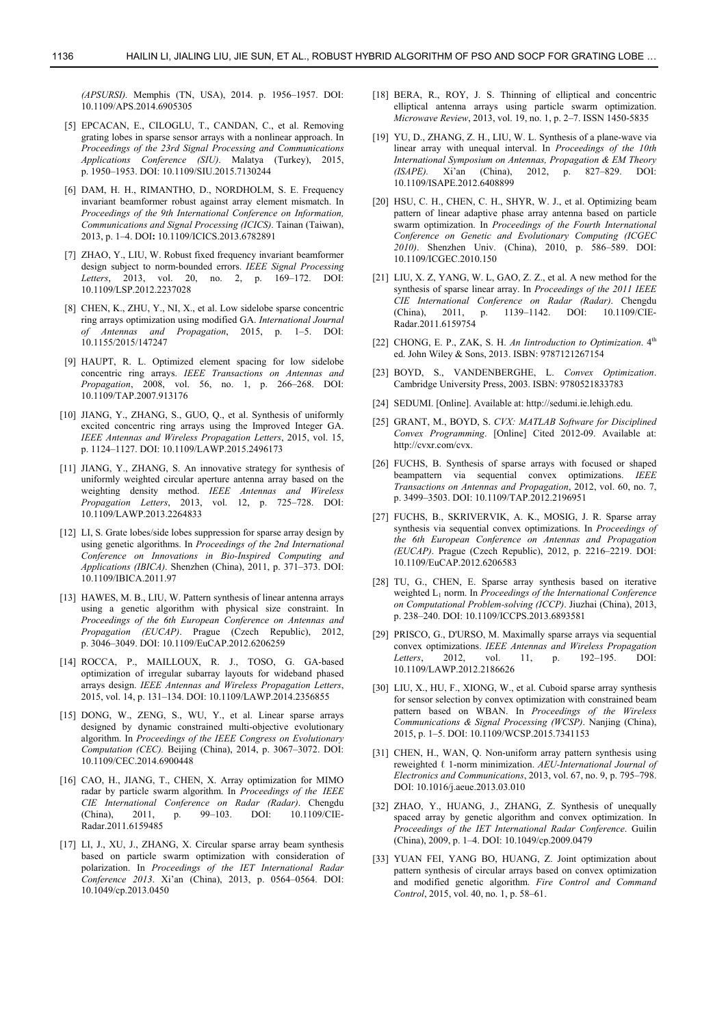*(APSURSI).* Memphis (TN, USA), 2014. p. 1956–1957. DOI: 10.1109/APS.2014.6905305

- [5] EPCACAN, E., CILOGLU, T., CANDAN, C., et al. Removing grating lobes in sparse sensor arrays with a nonlinear approach. In *Proceedings of the 23rd Signal Processing and Communications Applications Conference (SIU)*. Malatya (Turkey), 2015, p. 1950–1953. DOI: 10.1109/SIU.2015.7130244
- [6] DAM, H. H., RIMANTHO, D., NORDHOLM, S. E. Frequency invariant beamformer robust against array element mismatch. In *Proceedings of the 9th International Conference on Information, Communications and Signal Processing (ICICS)*. Tainan (Taiwan), 2013, p. 1–4. DOI**:** 10.1109/ICICS.2013.6782891
- [7] ZHAO, Y., LIU, W. Robust fixed frequency invariant beamformer design subject to norm-bounded errors. *IEEE Signal Processing Letters*, 2013, vol. 20, no. 2, p. 169–172. DOI: 10.1109/LSP.2012.2237028
- [8] CHEN, K., ZHU, Y., NI, X., et al. Low sidelobe sparse concentric ring arrays optimization using modified GA. *International Journal of Antennas and Propagation*, 2015, p. 1–5. DOI: 10.1155/2015/147247
- [9] HAUPT, R. L. Optimized element spacing for low sidelobe concentric ring arrays. *IEEE Transactions on Antennas and Propagation*, 2008, vol. 56, no. 1, p. 266–268. DOI: 10.1109/TAP.2007.913176
- [10] JIANG, Y., ZHANG, S., GUO, Q., et al. Synthesis of uniformly excited concentric ring arrays using the Improved Integer GA. *IEEE Antennas and Wireless Propagation Letters*, 2015, vol. 15, p. 1124–1127. DOI: 10.1109/LAWP.2015.2496173
- [11] JIANG, Y., ZHANG, S. An innovative strategy for synthesis of uniformly weighted circular aperture antenna array based on the weighting density method. *IEEE Antennas and Wireless Propagation Letters*, 2013, vol. 12, p. 725–728. DOI: 10.1109/LAWP.2013.2264833
- [12] LI, S. Grate lobes/side lobes suppression for sparse array design by using genetic algorithms. In *Proceedings of the 2nd International Conference on Innovations in Bio-Inspired Computing and Applications (IBICA)*. Shenzhen (China), 2011, p. 371–373. DOI: 10.1109/IBICA.2011.97
- [13] HAWES, M. B., LIU, W. Pattern synthesis of linear antenna arrays using a genetic algorithm with physical size constraint. In *Proceedings of the 6th European Conference on Antennas and Propagation (EUCAP)*. Prague (Czech Republic), 2012, p. 3046–3049. DOI: 10.1109/EuCAP.2012.6206259
- [14] ROCCA, P., MAILLOUX, R. J., TOSO, G. GA-based optimization of irregular subarray layouts for wideband phased arrays design. *IEEE Antennas and Wireless Propagation Letters*, 2015, vol. 14, p. 131–134. DOI: 10.1109/LAWP.2014.2356855
- [15] DONG, W., ZENG, S., WU, Y., et al. Linear sparse arrays designed by dynamic constrained multi-objective evolutionary algorithm. In *Proceedings of the IEEE Congress on Evolutionary Computation (CEC).* Beijing (China), 2014, p. 3067–3072. DOI: 10.1109/CEC.2014.6900448
- [16] CAO, H., JIANG, T., CHEN, X. Array optimization for MIMO radar by particle swarm algorithm. In *Proceedings of the IEEE CIE International Conference on Radar (Radar)*. Chengdu (China), 2011, p. 99–103. DOI: 10.1109/CIE-Radar.2011.6159485
- [17] LI, J., XU, J., ZHANG, X. Circular sparse array beam synthesis based on particle swarm optimization with consideration of polarization. In *Proceedings of the IET International Radar Conference 2013*. Xi'an (China), 2013, p. 0564–0564. DOI: 10.1049/cp.2013.0450
- [18] BERA, R., ROY, J. S. Thinning of elliptical and concentric elliptical antenna arrays using particle swarm optimization. *Microwave Review*, 2013, vol. 19, no. 1, p. 2–7. ISSN 1450-5835
- [19] YU, D., ZHANG, Z. H., LIU, W. L. Synthesis of a plane-wave via linear array with unequal interval. In *Proceedings of the 10th International Symposium on Antennas, Propagation & EM Theory (ISAPE).* Xi'an (China), 2012, p. 827–829. DOI: *(ISAPE).* Xi'an (China), 2012, p. 827–829. DOI: 10.1109/ISAPE.2012.6408899
- [20] HSU, C. H., CHEN, C. H., SHYR, W. J., et al. Optimizing beam pattern of linear adaptive phase array antenna based on particle swarm optimization. In *Proceedings of the Fourth International Conference on Genetic and Evolutionary Computing (ICGEC 2010)*. Shenzhen Univ. (China), 2010, p. 586–589. DOI: 10.1109/ICGEC.2010.150
- [21] LIU, X. Z, YANG, W. L, GAO, Z. Z., et al. A new method for the synthesis of sparse linear array. In *Proceedings of the 2011 IEEE CIE International Conference on Radar (Radar)*. Chengdu 1139–1142. DOI: 10.1109/CIE-Radar.2011.6159754
- [22] CHONG, E. P., ZAK, S. H. *An Iintroduction to Optimization*. 4th ed. John Wiley & Sons, 2013. ISBN: 9787121267154
- [23] BOYD, S., VANDENBERGHE, L. *Convex Optimization*. Cambridge University Press, 2003. ISBN: 9780521833783
- [24] SEDUMI. [Online]. Available at: http://sedumi.ie.lehigh.edu.
- [25] GRANT, M., BOYD, S. *CVX: MATLAB Software for Disciplined Convex Programming*. [Online] Cited 2012-09. Available at: http://cvxr.com/cvx.
- [26] FUCHS, B. Synthesis of sparse arrays with focused or shaped beampattern via sequential convex optimizations. *IEEE Transactions on Antennas and Propagation*, 2012, vol. 60, no. 7, p. 3499–3503. DOI: 10.1109/TAP.2012.2196951
- [27] FUCHS, B., SKRIVERVIK, A. K., MOSIG, J. R. Sparse array synthesis via sequential convex optimizations. In *Proceedings of the 6th European Conference on Antennas and Propagation (EUCAP)*. Prague (Czech Republic), 2012, p. 2216–2219. DOI: 10.1109/EuCAP.2012.6206583
- [28] TU, G., CHEN, E. Sparse array synthesis based on iterative weighted L1 norm. In *Proceedings of the International Conference on Computational Problem-solving (ICCP)*. Jiuzhai (China), 2013, p. 238–240. DOI: 10.1109/ICCPS.2013.6893581
- [29] PRISCO, G., D'URSO, M. Maximally sparse arrays via sequential convex optimizations. *IEEE Antennas and Wireless Propagation Letters*, 2012, p. 10.1109/LAWP.2012.2186626
- [30] LIU, X., HU, F., XIONG, W., et al. Cuboid sparse array synthesis for sensor selection by convex optimization with constrained beam pattern based on WBAN. In *Proceedings of the Wireless Communications & Signal Processing (WCSP)*. Nanjing (China), 2015, p. 1–5. DOI: 10.1109/WCSP.2015.7341153
- [31] CHEN, H., WAN, Q. Non-uniform array pattern synthesis using reweighted ℓ 1-norm minimization. *AEU-International Journal of Electronics and Communications*, 2013, vol. 67, no. 9, p. 795–798. DOI: 10.1016/j.aeue.2013.03.010
- [32] ZHAO, Y., HUANG, J., ZHANG, Z. Synthesis of unequally spaced array by genetic algorithm and convex optimization. In *Proceedings of the IET International Radar Conference*. Guilin (China), 2009, p. 1–4. DOI: 10.1049/cp.2009.0479
- [33] YUAN FEI, YANG BO, HUANG, Z. Joint optimization about pattern synthesis of circular arrays based on convex optimization and modified genetic algorithm. *Fire Control and Command Control*, 2015, vol. 40, no. 1, p. 58–61.